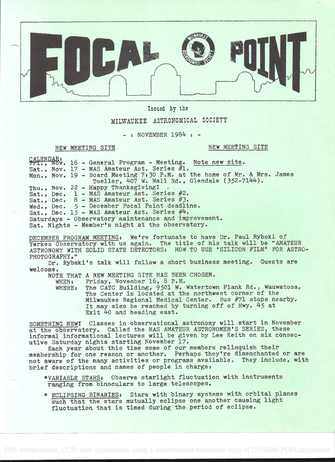

Issued by the

## MILWAUKEE ASTRONOMICAL SOCIETY

 $-$  : NOVEMBER 1984 :  $-$ 

NEW MEETING SITE

NEW MEETING SITE

 $\frac{\text{CALENDAR}}{\text{HT1.}}$ , Nov. 16 - General Program - Meeting. Note new site. Sat., Nov. 17 - MAS Amateur Ast. Series #1. Mon., Nov. 19 - Board Meeting 7:30 P.M. at the home of Mr. & Mrs. James  $Toeller, 407 W. Mall Rd., Glendale (352-7144).$ Thu., Nov. 22 - Happy Thanksgiving: Sat., Dec. 1 - MAS Amateur Ast. Series #2. Sat., Dec. 8 - MAS Amateur Ast. Series #3. Wed., Dec. 5 - December Focal Point deadline. Sat., Dec.  $15$  - MAS Amateur Ast. Series  $\#4$ . Saturdays - Observatory maintenance and improvement. Sat. Nights - Member's night at the observatory.

DECEMBER PROGRAM MEETING: We're Íortunate to have Dr. Paul Rybski of' Yerkes Observatory with us again. The title of his talk will be "AMATEUR ASTRONOMY WITH SOLID STATE DETECTORS: HOW TO USE 'SILICON FILM' FOR ASTRO-PHOTOGRAPHY."

Dr. Rybski's talk will follow a short business meeting. Guests are welcome.

NOTE THAT A NEW MEETING SITE HAS BEEN CHOSEN.<br>WHEN: Friday, November 16, 8 P.M.

WHEN: Friday, November 16, 8 P.M.<br>WHERE: The CATC Building, 9501 W. The CATC Building, 9501 W. Watertown Plank Rd., Wauwatosa, The Center is located at the northwest corner of the Milwaukee Regional Medical Center. Bus #71 stops nearby. It may also be reached by turning off of Hwy. 45 at Exit 40 and heading east.

SOMETHING NEW! Classes in observational astronomy will start in November at the observatory. Called the MAS AMATEUR ASTRONOMER'S SERIES, these informal informational lectures will be given by Lee Keith on six consecutive Saturday nights starting November 17.

Each year about this time some of our members relinquish their membership for one reason or another. Perhaps they're disenchanted or are not aware of the many activities or programs available. They include, with brief descriptions and names of people in charge:

- \*VARIABLE STARS: Observe starlight fluctuation with instruments ranging from binoculars to large telescopes.
- \* ECLIPSING BINARIES: Stars with binary systems with orbital planes such that the stars mutually eclipse one another causing light fluctuation that is timed during the period of eclipse.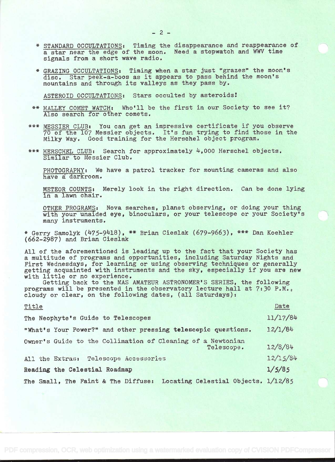- \* STANDARD OCCULTATIONS: Timing the disappearance and reappearance of a star near the edge of the moon. Need a stopwatch and WWV time signals from a short wave radio.
- \* GRAZING OCCULTATIONS: Timing when a star just "grazes" the moon's disc. Star peek-a-boos as it appears to pass behind the moon's mountains and through its valleys as they pass by.

ASTEROID OCCULTATIONS: Stars occulted by asteroids

- \*\* HALLEY COMET WATCH: Who'll be the first in our Society to see it? Also search for other comets.
- \*\*\* MESSIER CLUB; You can get an impressive certificate if you observe 70 of the 107 Messier objects. It's fun trying to find those in the Milky Way. Good training for the Herschel object program.
- \*\*\* HERSCHEL CLUB: Search for approximately 4,000 Herschel objects. Similar to Messier Club.

PHOTOGRAPHY: We have a patrol tracker for mounting cameras and also have a darkroom.

METEOR COUNTS: Merely look in the right direction. Can be done lying in a lawn chair.

OTHER PROGRAMS: Nova searches, planet observing, or doing your thing with your unaided eye, binoculars, or your telescope or your Society's many instruments.

\* Gerry Samolyk (475-9418), \*\* Brian Cieslak (679-9663), \*\*\* Dan Koehler (662-2987) and Brian Cieslak

Ail of the aforementioned is leading up to the fact that your Society has a multitude of programs and opportunities, including Saturday Nights and First Wednesdays, for learning or using observing techniques or generally getting acquainted with instruments and the sky, especially if you are new with little or no experience,

Getting back to the MAS AMATEUR ASTRONOMER'S SERIES, the following programs will be presented in the observatory lecture hall at 7:30 P.M., cloudy or clear, on the following dates, (all Saturdays):

| Title                                                                     | Date     |
|---------------------------------------------------------------------------|----------|
| The Neophyte's Guide to Telescopes                                        | 11/17/84 |
| "What's Your Power?" and other pressing telescopic questions.             | 12/1/84  |
| Owner's Guide to the Collimation of Cleaning of a Newtonian<br>Telescope. | 12/8/84  |
| All the Extras: Telescope Accessories                                     | 12/15/84 |
| Reading the Celestial Roadmap                                             | 1/5/85   |
| The Small, The Faint & The Diffuse: Locating Celestial Objects. 1/12/85   |          |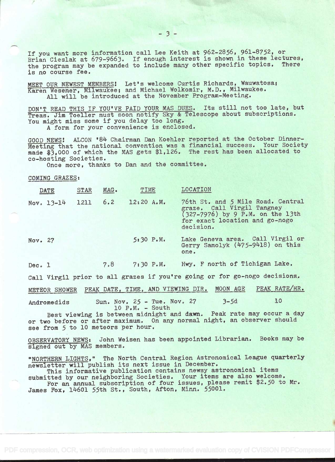If you want more information call Lee Keith at 962-2856, 961-8752, or Brian Cieslak at 679-9663. If enough interest is shown in these lectures, the program may be expanded to include many other specific topics. There is no course fee.

MEET OUR NEWEST MEMBERS: Let's welcome Curtis Richards, Wauwatosa; Karen Wesener, Milwaukee; and Michael Wolkomir, M.D., Milwaukee. All will be introduced at the November Program-Meeting.

DON'T READ THIS IF YOU'VE PAID YOUR MAS DUES. Its still not too late, but Treas, Jim Toeller must soon notify Sky & Telescope about subscriptions. You might miss some if you delay too long. A form for your convenience is enclosed.

GOOD NEWS! ALCON '84 Chairman Dan Koehler reported at the October Dinner-Meeting that the national convention was a financial success. Your Society made  $$3,000$  of which the MAS gets  $$1,126$ . The rest has been allocated to co-hosting Societies.

Once more, thanks to Dan and the committee.

## COMING GRAZES:

| <b>DATE</b>  | <b>STAR</b> | MAG. | TIME          | LOCATION                                                                                                                                           |
|--------------|-------------|------|---------------|----------------------------------------------------------------------------------------------------------------------------------------------------|
| Nov. $13-14$ | 1211        | 6.2  | 12:20 A.M.    | 76th St. and 5 Mile Road. Central<br>graze. Call Virgil Tangney<br>(327-7976) by 9 P.M. on the 13th<br>for exact location and go-nogo<br>decision. |
| Nov. 27      |             |      | $5:30$ $P.M.$ | Lake Geneva area. Call Virgil or<br>Gerry Samolyk (475-9418) on this<br>one.                                                                       |
| Dec. 1       |             | 7.8  | $7:30$ $P.M.$ | Hwy. F north of Tichigan Lake.                                                                                                                     |

Call Virgil prior to all grazes if you're going or for go-nogo decisions.

METEOR SHOWER PEAK DATE, TIME, AND VIEWING DIR. MOON AGE PEAK RATE/HR.

Andromedids Sun. Nov. 25 - Tue. Nov. 27 3-5d 10 lo P.M. - South

Best viewing is between midnight and dawn. Peak rate may occur a day or two before or after maximum. On any normal night, an observer should see from 5 to 10 meteors per hour.

OBSERVATORY NEWS: John Weisen has been appointed Librarian. Books may be signed out by MAS members.

"NORTHERN LIGHTS," The North Central Region Astronomical League quarterly newsletter will publish its next issue in December.

This informative publication contains newsy astronomical items submitted by our neighboring Societies. Your items are also welcome.

For an annual subscription of four issues, please remit \$2.50 to Mr. James Fox, 14601 55th St., South, Afton, Minn. 55001.